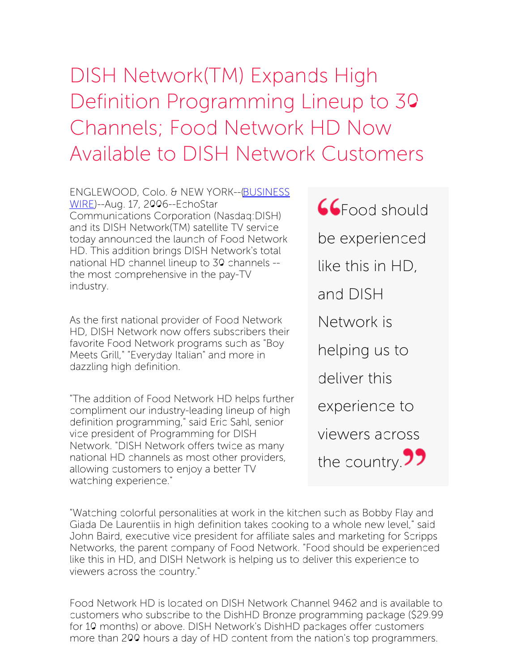## DISH Network(TM) Expands High Definition Programming Lineup to 30 Channels; Food Network HD Now Available to DISH Network Customers

ENGLEWOOD, Colo. & NEW [YORK--\(BUSINESS](http://www.businesswire.com/) WIRE)--Aug. 17, 2006--EchoStar Communications Corporation (Nasdaq:DISH) and its DISH Network(TM) satellite TV service today announced the launch of Food Network HD. This addition brings DISH Network's total national HD channel lineup to 30 channels - the most comprehensive in the pay-TV industry.

As the first national provider of Food Network HD, DISH Network now offers subscribers their favorite Food Network programs such as "Boy Meets Grill," "Everyday Italian" and more in dazzling high definition.

"The addition of Food Network HD helps further compliment our industry-leading lineup of high definition programming," said Eric Sahl, senior vice president of Programming for DISH Network. "DISH Network offers twice as many national HD channels as most other providers, allowing customers to enjoy a better TV watching experience."

**CGFood should** be experienced like this in HD, and DISH Network is helping us to deliver this experience to viewers across the country. $\overline{22}$ 

"Watching colorful personalities at work in the kitchen such as Bobby Flay and Giada De Laurentiis in high definition takes cooking to a whole new level," said John Baird, executive vice president for affiliate sales and marketing for Scripps Networks, the parent company of Food Network. "Food should be experienced like this in HD, and DISH Network is helping us to deliver this experience to viewers across the country."

Food Network HD is located on DISH Network Channel 9462 and is available to customers who subscribe to the DishHD Bronze programming package (\$29.99 for 10 months) or above. DISH Network's DishHD packages offer customers more than 200 hours a day of HD content from the nation's top programmers.